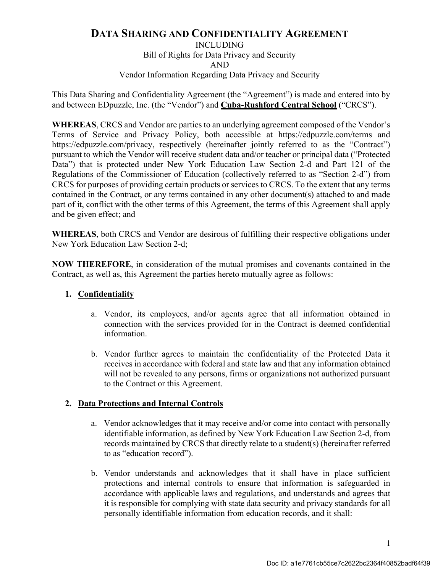### **DATA SHARING AND CONFIDENTIALITY AGREEMENT**

INCLUDING Bill of Rights for Data Privacy and Security AND Vendor Information Regarding Data Privacy and Security

This Data Sharing and Confidentiality Agreement (the "Agreement") is made and entered into by and between EDpuzzle, Inc. (the "Vendor") and **Cuba-Rushford Central School** ("CRCS").

**WHEREAS**, CRCS and Vendor are parties to an underlying agreement composed of the Vendor's Terms of Service and Privacy Policy, both accessible at https://edpuzzle.com/terms and https://edpuzzle.com/privacy, respectively (hereinafter jointly referred to as the "Contract") pursuant to which the Vendor will receive student data and/or teacher or principal data ("Protected Data") that is protected under New York Education Law Section 2-d and Part 121 of the Regulations of the Commissioner of Education (collectively referred to as "Section 2-d") from CRCS for purposes of providing certain products or services to CRCS. To the extent that any terms contained in the Contract, or any terms contained in any other document(s) attached to and made part of it, conflict with the other terms of this Agreement, the terms of this Agreement shall apply and be given effect; and

**WHEREAS**, both CRCS and Vendor are desirous of fulfilling their respective obligations under New York Education Law Section 2-d;

**NOW THEREFORE**, in consideration of the mutual promises and covenants contained in the Contract, as well as, this Agreement the parties hereto mutually agree as follows:

### **1. Confidentiality**

- a. Vendor, its employees, and/or agents agree that all information obtained in connection with the services provided for in the Contract is deemed confidential information.
- b. Vendor further agrees to maintain the confidentiality of the Protected Data it receives in accordance with federal and state law and that any information obtained will not be revealed to any persons, firms or organizations not authorized pursuant to the Contract or this Agreement.

### **2. Data Protections and Internal Controls**

- a. Vendor acknowledges that it may receive and/or come into contact with personally identifiable information, as defined by New York Education Law Section 2-d, from records maintained by CRCS that directly relate to a student(s) (hereinafter referred to as "education record").
- b. Vendor understands and acknowledges that it shall have in place sufficient protections and internal controls to ensure that information is safeguarded in accordance with applicable laws and regulations, and understands and agrees that it is responsible for complying with state data security and privacy standards for all personally identifiable information from education records, and it shall: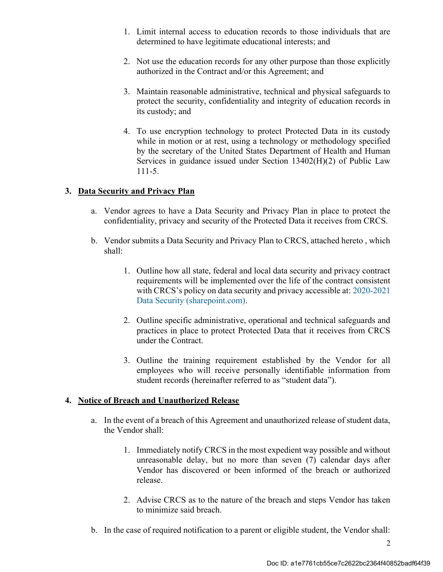- 1. Limit internal access to education records to those individuals that are determined to have legitimate educational interests; and
- 2. Not use the education records for any other purpose than those explicitly authorized in the Contract and/or this Agreement; and
- 3. Maintain reasonable administrative, technical and physical safeguards to protect the security, confidentiality and integrity of education records in its custody; and
- 4. To use encryption technology to protect Protected Data in its custody while in motion or at rest, using a technology or methodology specified by the secretary of the United States Department of Health and Human Services in guidance issued under Section 13402(H)(2) of Public Law 111-5.

### **3. Data Security and Privacy Plan**

- a. Vendor agrees to have a Data Security and Privacy Plan in place to protect the confidentiality, privacy and security of the Protected Data it receives from CRCS.
- b. Vendor submits a Data Security and Privacy Plan to CRCS, attached hereto , which shall:
	- 1. Outline how all state, federal and local data security and privacy contract requirements will be implemented over the life of the contract consistent with CRCS's policy on data security and privacy accessible at: 2020-2021 Data Security (sharepoint.com).
	- 2. Outline specific administrative, operational and technical safeguards and practices in place to protect Protected Data that it receives from CRCS under the Contract.
	- 3. Outline the training requirement established by the Vendor for all employees who will receive personally identifiable information from student records (hereinafter referred to as "student data").

### **4. Notice of Breach and Unauthorized Release**

- a. In the event of a breach of this Agreement and unauthorized release of student data, the Vendor shall:
	- 1. Immediately notify CRCS in the most expedient way possible and without unreasonable delay, but no more than seven (7) calendar days after Vendor has discovered or been informed of the breach or authorized release.
	- 2. Advise CRCS as to the nature of the breach and steps Vendor has taken to minimize said breach.
- b. In the case of required notification to a parent or eligible student, the Vendor shall: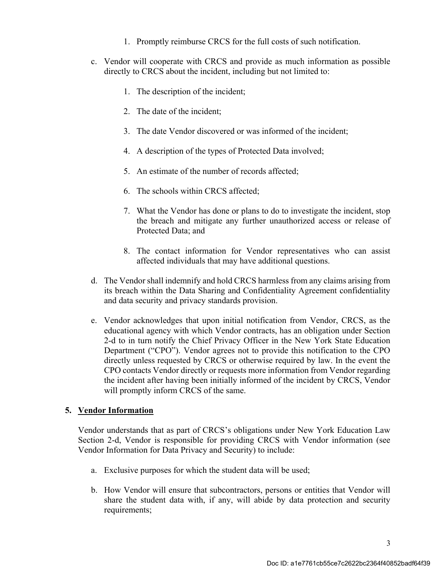- 1. Promptly reimburse CRCS for the full costs of such notification.
- c. Vendor will cooperate with CRCS and provide as much information as possible directly to CRCS about the incident, including but not limited to:
	- 1. The description of the incident;
	- 2. The date of the incident;
	- 3. The date Vendor discovered or was informed of the incident;
	- 4. A description of the types of Protected Data involved;
	- 5. An estimate of the number of records affected;
	- 6. The schools within CRCS affected;
	- 7. What the Vendor has done or plans to do to investigate the incident, stop the breach and mitigate any further unauthorized access or release of Protected Data; and
	- 8. The contact information for Vendor representatives who can assist affected individuals that may have additional questions.
- d. The Vendor shall indemnify and hold CRCS harmless from any claims arising from its breach within the Data Sharing and Confidentiality Agreement confidentiality and data security and privacy standards provision.
- e. Vendor acknowledges that upon initial notification from Vendor, CRCS, as the educational agency with which Vendor contracts, has an obligation under Section 2-d to in turn notify the Chief Privacy Officer in the New York State Education Department ("CPO"). Vendor agrees not to provide this notification to the CPO directly unless requested by CRCS or otherwise required by law. In the event the CPO contacts Vendor directly or requests more information from Vendor regarding the incident after having been initially informed of the incident by CRCS, Vendor will promptly inform CRCS of the same.

### **5. Vendor Information**

Vendor understands that as part of CRCS's obligations under New York Education Law Section 2-d, Vendor is responsible for providing CRCS with Vendor information (see Vendor Information for Data Privacy and Security) to include:

- a. Exclusive purposes for which the student data will be used;
- b. How Vendor will ensure that subcontractors, persons or entities that Vendor will share the student data with, if any, will abide by data protection and security requirements;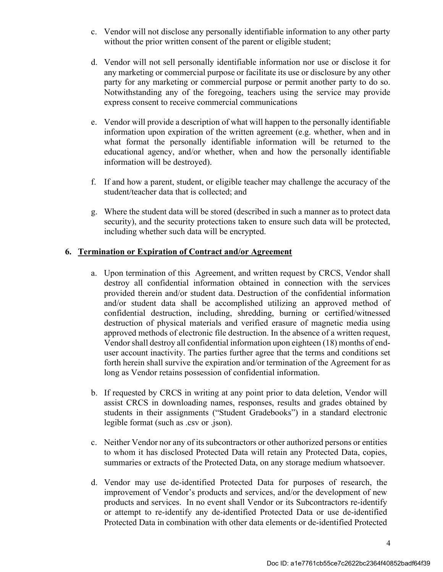- c. Vendor will not disclose any personally identifiable information to any other party without the prior written consent of the parent or eligible student;
- d. Vendor will not sell personally identifiable information nor use or disclose it for any marketing or commercial purpose or facilitate its use or disclosure by any other party for any marketing or commercial purpose or permit another party to do so. Notwithstanding any of the foregoing, teachers using the service may provide express consent to receive commercial communications
- e. Vendor will provide a description of what will happen to the personally identifiable information upon expiration of the written agreement (e.g. whether, when and in what format the personally identifiable information will be returned to the educational agency, and/or whether, when and how the personally identifiable information will be destroyed).
- f. If and how a parent, student, or eligible teacher may challenge the accuracy of the student/teacher data that is collected; and
- g. Where the student data will be stored (described in such a manner as to protect data security), and the security protections taken to ensure such data will be protected, including whether such data will be encrypted.

### **6. Termination or Expiration of Contract and/or Agreement**

- a. Upon termination of this Agreement, and written request by CRCS, Vendor shall destroy all confidential information obtained in connection with the services provided therein and/or student data. Destruction of the confidential information and/or student data shall be accomplished utilizing an approved method of confidential destruction, including, shredding, burning or certified/witnessed destruction of physical materials and verified erasure of magnetic media using approved methods of electronic file destruction. In the absence of a written request, Vendor shall destroy all confidential information upon eighteen (18) months of enduser account inactivity. The parties further agree that the terms and conditions set forth herein shall survive the expiration and/or termination of the Agreement for as long as Vendor retains possession of confidential information.
- b. If requested by CRCS in writing at any point prior to data deletion, Vendor will assist CRCS in downloading names, responses, results and grades obtained by students in their assignments ("Student Gradebooks") in a standard electronic legible format (such as .csv or .json).
- c. Neither Vendor nor any of its subcontractors or other authorized persons or entities to whom it has disclosed Protected Data will retain any Protected Data, copies, summaries or extracts of the Protected Data, on any storage medium whatsoever.
- d. Vendor may use de-identified Protected Data for purposes of research, the improvement of Vendor's products and services, and/or the development of new products and services. In no event shall Vendor or its Subcontractors re-identify or attempt to re-identify any de-identified Protected Data or use de-identified Protected Data in combination with other data elements or de-identified Protected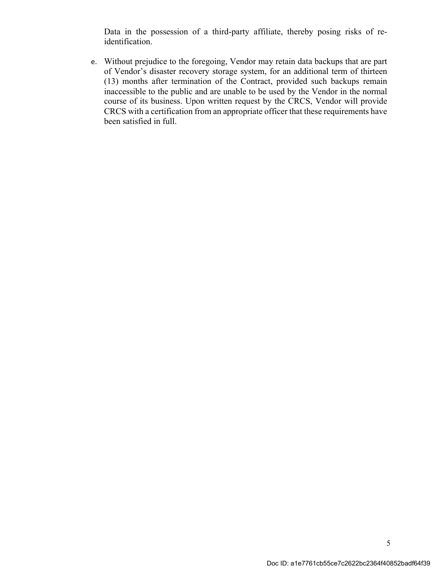Data in the possession of a third-party affiliate, thereby posing risks of reidentification.

e. Without prejudice to the foregoing, Vendor may retain data backups that are part of Vendor's disaster recovery storage system, for an additional term of thirteen (13) months after termination of the Contract, provided such backups remain inaccessible to the public and are unable to be used by the Vendor in the normal course of its business. Upon written request by the CRCS, Vendor will provide CRCS with a certification from an appropriate officer that these requirements have been satisfied in full.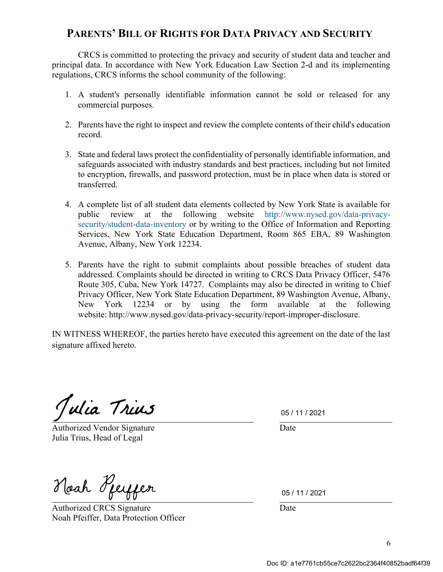## **PARENTS' BILL OF RIGHTS FOR DATA PRIVACY AND SECURITY**

CRCS is committed to protecting the privacy and security of student data and teacher and principal data. In accordance with New York Education Law Section 2-d and its implementing regulations, CRCS informs the school community of the following:

- 1. A student's personally identifiable information cannot be sold or released for any commercial purposes.
- 2. Parents have the right to inspect and review the complete contents of their child's education record.
- 3. State and federal laws protect the confidentiality of personally identifiable information, and safeguards associated with industry standards and best practices, including but not limited to encryption, firewalls, and password protection, must be in place when data is stored or transferred.
- 4. A complete list of all student data elements collected by New York State is available for public review at the following website http://www.nysed.gov/data-privacysecurity/student-data-inventory or by writing to the Office of Information and Reporting Services, New York State Education Department, Room 865 EBA, 89 Washington Avenue, Albany, New York 12234.
- 5. Parents have the right to submit complaints about possible breaches of student data addressed. Complaints should be directed in writing to CRCS Data Privacy Officer, 5476 Route 305, Cuba, New York 14727. Complaints may also be directed in writing to Chief Privacy Officer, New York State Education Department, 89 Washington Avenue, Albany, New York 12234 or by using the form available at the following website: http://www.nysed.gov/data-privacy-security/report-improper-disclosure.

IN WITNESS WHEREOF, the parties hereto have executed this agreement on the date of the last signature affixed hereto.

Julia Trius

Authorized Vendor Signature Julia Trius, Head of Legal

Noah Reysen

Authorized CRCS Signature Noah Pfeiffer, Data Protection Officer

05 / 11 / 2021

Date

05 / 11 / 2021

Date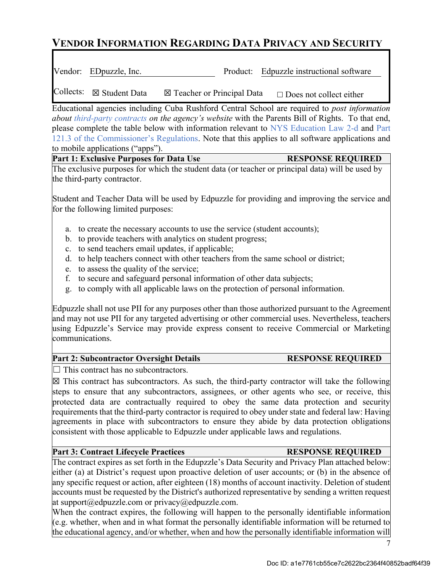# **VENDOR INFORMATION REGARDING DATA PRIVACY AND SECURITY**

Vendor: EDpuzzle, Inc. Product: Edpuzzle instructional software

Collects:  $\boxtimes$  Student Data  $\boxtimes$  Teacher or Principal Data  $\Box$  Does not collect either

Educational agencies including Cuba Rushford Central School are required to *post information about third-party contracts on the agency's website* with the Parents Bill of Rights. To that end, please complete the table below with information relevant to NYS Education Law 2-d and Part 121.3 of the Commissioner's Regulations. Note that this applies to all software applications and to mobile applications ("apps").

|      | <b>Part 1: Exclusive Purposes for Data Use</b> | <b>RESPONSE REQUIRED</b> |
|------|------------------------------------------------|--------------------------|
| $-1$ |                                                |                          |

The exclusive purposes for which the student data (or teacher or principal data) will be used by the third-party contractor.

Student and Teacher Data will be used by Edpuzzle for providing and improving the service and for the following limited purposes:

- a. to create the necessary accounts to use the service (student accounts);
- b. to provide teachers with analytics on student progress;
- c. to send teachers email updates, if applicable;
- d. to help teachers connect with other teachers from the same school or district;
- e. to assess the quality of the service;
- f. to secure and safeguard personal information of other data subjects;
- g. to comply with all applicable laws on the protection of personal information.

Edpuzzle shall not use PII for any purposes other than those authorized pursuant to the Agreement and may not use PII for any targeted advertising or other commercial uses. Nevertheless, teachers using Edpuzzle's Service may provide express consent to receive Commercial or Marketing communications.

### Part 2: Subcontractor Oversight Details **RESPONSE REQUIRED**

 $\Box$  This contract has no subcontractors.

 $\boxtimes$  This contract has subcontractors. As such, the third-party contractor will take the following steps to ensure that any subcontractors, assignees, or other agents who see, or receive, this protected data are contractually required to obey the same data protection and security requirements that the third-party contractor is required to obey under state and federal law: Having agreements in place with subcontractors to ensure they abide by data protection obligations consistent with those applicable to Edpuzzle under applicable laws and regulations.

### **Part 3: Contract Lifecycle Practices** RESPONSE REQUIRED

The contract expires as set forth in the Edupzzle's Data Security and Privacy Plan attached below: either (a) at District's request upon proactive deletion of user accounts; or (b) in the absence of any specific request or action, after eighteen (18) months of account inactivity. Deletion of student accounts must be requested by the District's authorized representative by sending a written request at support@edpuzzle.com or privacy@edpuzzle.com.

When the contract expires, the following will happen to the personally identifiable information (e.g. whether, when and in what format the personally identifiable information will be returned to the educational agency, and/or whether, when and how the personally identifiable information will

7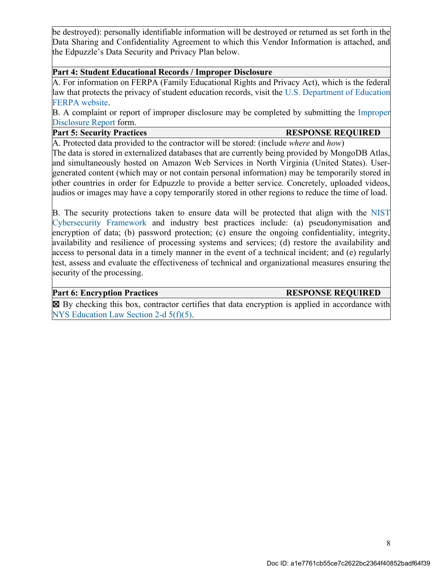be destroyed): personally identifiable information will be destroyed or returned as set forth in the Data Sharing and Confidentiality Agreement to which this Vendor Information is attached, and the Edpuzzle's Data Security and Privacy Plan below.

### **Part 4: Student Educational Records / Improper Disclosure**

A. For information on FERPA (Family Educational Rights and Privacy Act), which is the federal law that protects the privacy of student education records, visit the U.S. Department of Education FERPA website.

B. A complaint or report of improper disclosure may be completed by submitting the Improper Disclosure Report form.

### **Part 5: Security Practices** And **RESPONSE REQUIRED**

A. Protected data provided to the contractor will be stored: (include *where* and *how*) The data is stored in externalized databases that are currently being provided by MongoDB Atlas, and simultaneously hosted on Amazon Web Services in North Virginia (United States). Usergenerated content (which may or not contain personal information) may be temporarily stored in other countries in order for Edpuzzle to provide a better service. Concretely, uploaded videos, audios or images may have a copy temporarily stored in other regions to reduce the time of load.

B. The security protections taken to ensure data will be protected that align with the NIST Cybersecurity Framework and industry best practices include: (a) pseudonymisation and encryption of data; (b) password protection; (c) ensure the ongoing confidentiality, integrity, availability and resilience of processing systems and services; (d) restore the availability and access to personal data in a timely manner in the event of a technical incident; and (e) regularly test, assess and evaluate the effectiveness of technical and organizational measures ensuring the security of the processing.

### **Part 6: Encryption Practices Access** RESPONSE REQUIRED

⊠ By checking this box, contractor certifies that data encryption is applied in accordance with NYS Education Law Section 2-d 5(f)(5).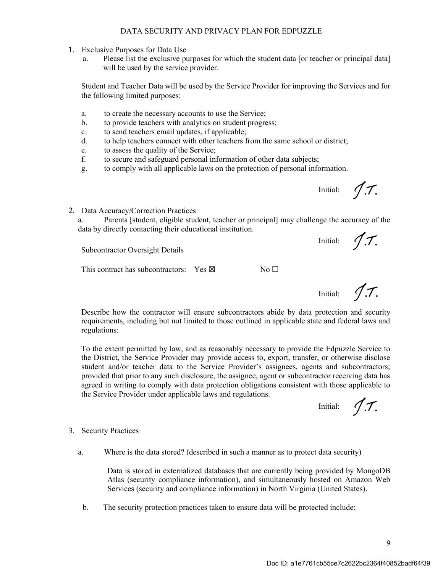### DATA SECURITY AND PRIVACY PLAN FOR EDPUZZLE

- 1. Exclusive Purposes for Data Use
	- a. Please list the exclusive purposes for which the student data [or teacher or principal data] will be used by the service provider.

Student and Teacher Data will be used by the Service Provider for improving the Services and for the following limited purposes:

- a. to create the necessary accounts to use the Service;
- b. to provide teachers with analytics on student progress;
- c. to send teachers email updates, if applicable;
- d. to help teachers connect with other teachers from the same school or district;
- e. to assess the quality of the Service;
- f. to secure and safeguard personal information of other data subjects;
- g. to comply with all applicable laws on the protection of personal information.

Initial:  $\sqrt{7}$ .

 $1.7$ 

2. Data Accuracy/Correction Practices

a. Parents [student, eligible student, teacher or principal] may challenge the accuracy of the data by directly contacting their educational institution. Initial:  $\sqrt{7}$ .

Subcontractor Oversight Details

This contract has subcontractors: Yes  $\boxtimes$  No  $\Box$ 

Describe how the contractor will ensure subcontractors abide by data protection and security requirements, including but not limited to those outlined in applicable state and federal laws and regulations:

To the extent permitted by law, and as reasonably necessary to provide the Edpuzzle Service to the District, the Service Provider may provide access to, export, transfer, or otherwise disclose student and/or teacher data to the Service Provider's assignees, agents and subcontractors; provided that prior to any such disclosure, the assignee, agent or subcontractor receiving data has agreed in writing to comply with data protection obligations consistent with those applicable to the Service Provider under applicable laws and regulations.

Initial:  $\sqrt{7}$ .

Initial:

### 3. Security Practices

a. Where is the data stored? (described in such a manner as to protect data security)

Data is stored in externalized databases that are currently being provided by MongoDB Atlas (security compliance information), and simultaneously hosted on Amazon Web Services (security and compliance information) in North Virginia (United States).

b. The security protection practices taken to ensure data will be protected include: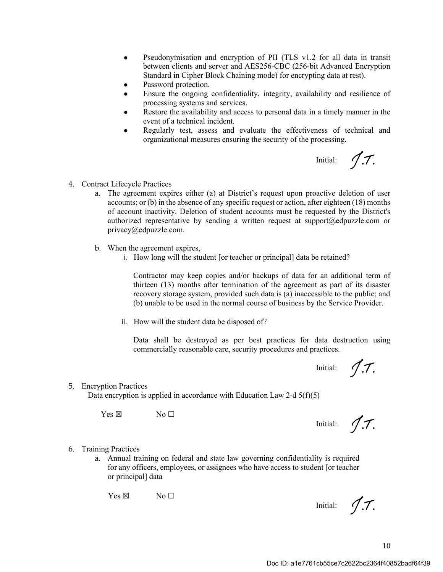- Pseudonymisation and encryption of PII (TLS v1.2 for all data in transit between clients and server and AES256-CBC (256-bit Advanced Encryption Standard in Cipher Block Chaining mode) for encrypting data at rest).
- Password protection.
- Ensure the ongoing confidentiality, integrity, availability and resilience of processing systems and services.
- Restore the availability and access to personal data in a timely manner in the event of a technical incident.
- Regularly test, assess and evaluate the effectiveness of technical and organizational measures ensuring the security of the processing.

Initial:  $\int$ .7.

- 4. Contract Lifecycle Practices
	- a. The agreement expires either (a) at District's request upon proactive deletion of user accounts; or (b) in the absence of any specific request or action, after eighteen (18) months of account inactivity. Deletion of student accounts must be requested by the District's authorized representative by sending a written request at support@edpuzzle.com or privacy@edpuzzle.com.
	- b. When the agreement expires,
		- i. How long will the student [or teacher or principal] data be retained?

Contractor may keep copies and/or backups of data for an additional term of thirteen (13) months after termination of the agreement as part of its disaster recovery storage system, provided such data is (a) inaccessible to the public; and (b) unable to be used in the normal course of business by the Service Provider.

ii. How will the student data be disposed of?

Data shall be destroyed as per best practices for data destruction using commercially reasonable care, security procedures and practices.

Initial:

Initial:  $\sqrt{7}$ .

5. Encryption Practices

Data encryption is applied in accordance with Education Law 2-d  $5(f)(5)$ 

 $Yes \boxtimes$  No  $\square$ 

6. Training Practices

a. Annual training on federal and state law governing confidentiality is required for any officers, employees, or assignees who have access to student [or teacher or principal] data

 $Yes \boxtimes$  No  $\square$ 

Initial:  $\sqrt{7}$ .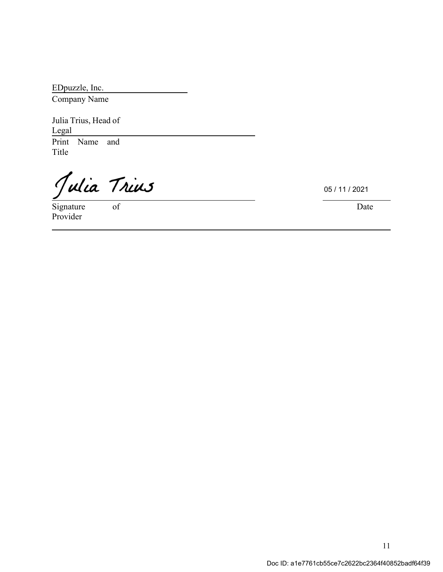EDpuzzle, Inc. Company Name

Julia Trius, Head of Legal Print Name and Title

Julia Trius

Provider

05 / 11 / 2021

**Date**